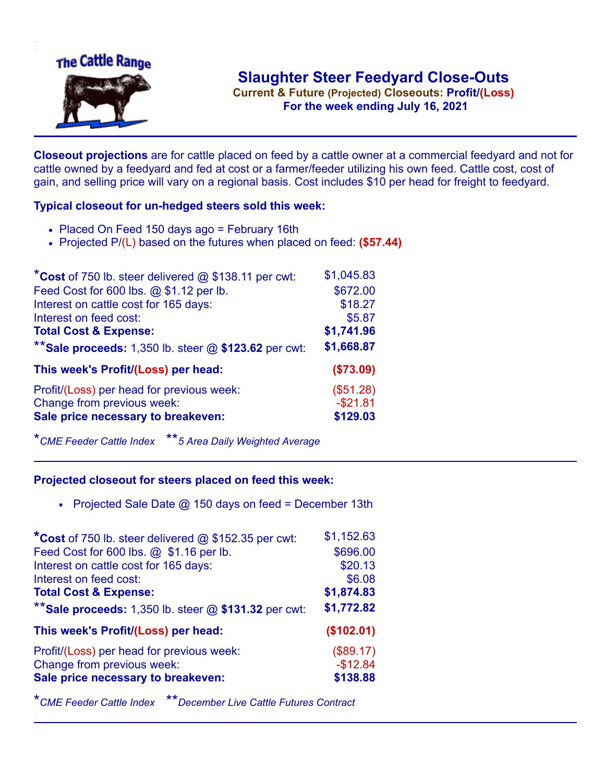

**Current & Future (Projected) Closeouts: Profit/(Loss)** .**For the week ending July 16, 2021**

**Closeout projections** are for cattle placed on feed by a cattle owner at a commercial feedyard and not for cattle owned by a feedyard and fed at cost or a farmer/feeder utilizing his own feed. Cattle cost, cost of gain, and selling price will vary on a regional basis. Cost includes \$10 per head for freight to feedyard.

## **Typical closeout for un-hedged steers sold this week:**

- Placed On Feed 150 days ago = February 16th
- Projected P/(L) based on the futures when placed on feed: **(\$57.44)**

| *Cost of 750 lb. steer delivered $@$ \$138.11 per cwt:  | \$1,045.83 |
|---------------------------------------------------------|------------|
| Feed Cost for 600 lbs. @ \$1.12 per lb.                 | \$672.00   |
| Interest on cattle cost for 165 days:                   | \$18.27    |
| Interest on feed cost:                                  | \$5.87     |
| <b>Total Cost &amp; Expense:</b>                        | \$1,741.96 |
| ** Sale proceeds: 1,350 lb. steer $@$ \$123.62 per cwt: | \$1,668.87 |
| This week's Profit/(Loss) per head:                     | (\$73.09)  |
| Profit/(Loss) per head for previous week:               | (\$51.28)  |
| Change from previous week:                              | $-$21.81$  |
| Sale price necessary to breakeven:                      | \$129.03   |

\**CME Feeder Cattle Index* \*\**5 Area Daily Weighted Average*

## **Projected closeout for steers placed on feed this week:**

• Projected Sale Date  $@$  150 days on feed = December 13th

| Feed Cost for 600 lbs. @ \$1.16 per lb.<br>\$696.00<br>Interest on cattle cost for 165 days:<br>\$20.13<br>\$6.08<br>Interest on feed cost:<br>\$1,874.83<br><b>Total Cost &amp; Expense:</b><br>** Sale proceeds: 1,350 lb. steer $@$ \$131.32 per cwt:<br>\$1,772.82<br>This week's Profit/(Loss) per head:<br>(\$102.01) |
|-----------------------------------------------------------------------------------------------------------------------------------------------------------------------------------------------------------------------------------------------------------------------------------------------------------------------------|
|                                                                                                                                                                                                                                                                                                                             |
|                                                                                                                                                                                                                                                                                                                             |
|                                                                                                                                                                                                                                                                                                                             |
|                                                                                                                                                                                                                                                                                                                             |
|                                                                                                                                                                                                                                                                                                                             |
|                                                                                                                                                                                                                                                                                                                             |
| Profit/(Loss) per head for previous week:<br>(\$89.17)                                                                                                                                                                                                                                                                      |
| $-$12.84$<br>Change from previous week:                                                                                                                                                                                                                                                                                     |
| Sale price necessary to breakeven:<br>\$138.88                                                                                                                                                                                                                                                                              |

\**CME Feeder Cattle Index* \*\**December Live Cattle Futures Contract*